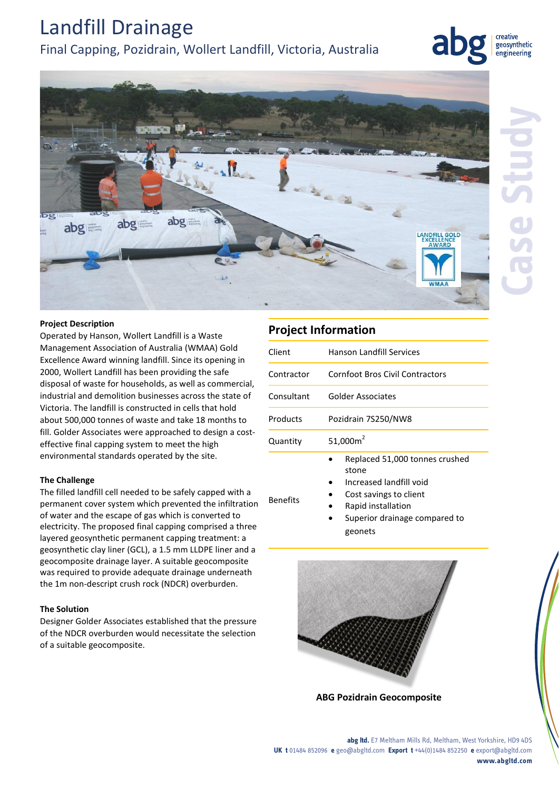# Landfill Drainage

### Final Capping, Pozidrain, Wollert Landfill, Victoria, Australia



creative geosynthetic engineering

#### **Project Description**

bg

Operated by Hanson, Wollert Landfill is a Waste Management Association of Australia (WMAA) Gold Excellence Award winning landfill. Since its opening in 2000, Wollert Landfill has been providing the safe disposal of waste for households, as well as commercial, industrial and demolition businesses across the state of Victoria. The landfill is constructed in cells that hold about 500,000 tonnes of waste and take 18 months to fill. Golder Associates were approached to design a costeffective final capping system to meet the high environmental standards operated by the site.

#### **The Challenge**

The filled landfill cell needed to be safely capped with a permanent cover system which prevented the infiltration of water and the escape of gas which is converted to electricity. The proposed final capping comprised a three layered geosynthetic permanent capping treatment: a geosynthetic clay liner (GCL), a 1.5 mm LLDPE liner and a geocomposite drainage layer. A suitable geocomposite was required to provide adequate drainage underneath the 1m non-descript crush rock (NDCR) overburden.

#### **The Solution**

Designer Golder Associates established that the pressure of the NDCR overburden would necessitate the selection of a suitable geocomposite.

### **Project Information**

Benefits

| Client     | Hanson Landfill Services        |
|------------|---------------------------------|
| Contractor | Cornfoot Bros Civil Contractors |
| Consultant | Golder Associates               |
| Products   | Pozidrain 7S250/NW8             |
| Quantity   | 51,000 $m2$                     |
|            | Ranlacad 51 000 tonnes crushed  |

- Replaced 51,000 tonnes crushed stone
- Increased landfill void
- Cost savings to client
- Rapid installation
	- Superior drainage compared to geonets



**ABG Pozidrain Geocomposite**

**abg ltd.** E7 Meltham Mills Rd, Meltham, West Yorkshire, HD9 4DS **UK t** 01484 852096 **e** geo@abgltd.com **Export t** +44(0)1484 852250 **e** export@abgltd.com **www.abgltd.com**